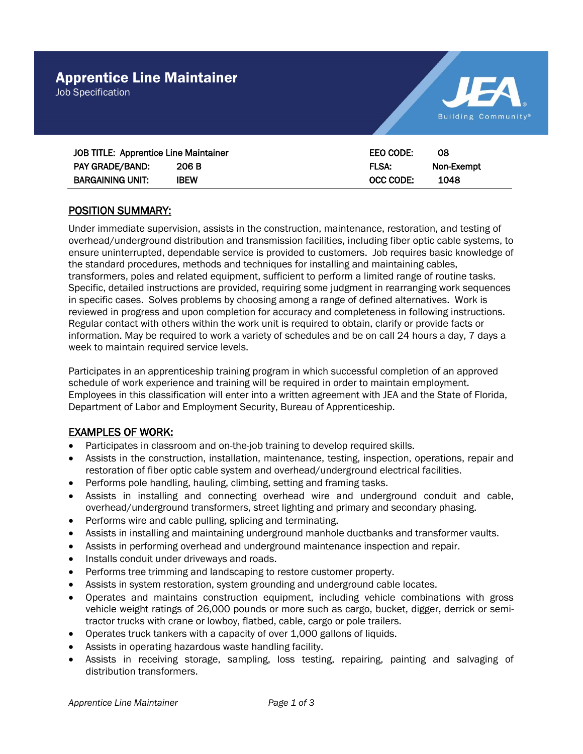Job Specification



| JOB TITLE: Apprentice Line Maintainer |             | EEO CODE:   | -08        |
|---------------------------------------|-------------|-------------|------------|
| PAY GRADE/BAND:                       | 206 B       | <b>FLSA</b> | Non-Exempt |
| <b>BARGAINING UNIT:</b>               | <b>IBEW</b> | OCC CODE:   | 1048       |

# POSITION SUMMARY:

Under immediate supervision, assists in the construction, maintenance, restoration, and testing of overhead/underground distribution and transmission facilities, including fiber optic cable systems, to ensure uninterrupted, dependable service is provided to customers. Job requires basic knowledge of the standard procedures, methods and techniques for installing and maintaining cables, transformers, poles and related equipment, sufficient to perform a limited range of routine tasks. Specific, detailed instructions are provided, requiring some judgment in rearranging work sequences in specific cases. Solves problems by choosing among a range of defined alternatives. Work is reviewed in progress and upon completion for accuracy and completeness in following instructions. Regular contact with others within the work unit is required to obtain, clarify or provide facts or information. May be required to work a variety of schedules and be on call 24 hours a day, 7 days a week to maintain required service levels.

Participates in an apprenticeship training program in which successful completion of an approved schedule of work experience and training will be required in order to maintain employment. Employees in this classification will enter into a written agreement with JEA and the State of Florida, Department of Labor and Employment Security, Bureau of Apprenticeship.

# EXAMPLES OF WORK:

- Participates in classroom and on-the-job training to develop required skills.
- Assists in the construction, installation, maintenance, testing, inspection, operations, repair and restoration of fiber optic cable system and overhead/underground electrical facilities.
- Performs pole handling, hauling, climbing, setting and framing tasks.
- Assists in installing and connecting overhead wire and underground conduit and cable, overhead/underground transformers, street lighting and primary and secondary phasing.
- Performs wire and cable pulling, splicing and terminating.
- Assists in installing and maintaining underground manhole ductbanks and transformer vaults.
- Assists in performing overhead and underground maintenance inspection and repair.
- Installs conduit under driveways and roads.
- Performs tree trimming and landscaping to restore customer property.
- Assists in system restoration, system grounding and underground cable locates.
- Operates and maintains construction equipment, including vehicle combinations with gross vehicle weight ratings of 26,000 pounds or more such as cargo, bucket, digger, derrick or semitractor trucks with crane or lowboy, flatbed, cable, cargo or pole trailers.
- Operates truck tankers with a capacity of over 1,000 gallons of liquids.
- Assists in operating hazardous waste handling facility.
- Assists in receiving storage, sampling, loss testing, repairing, painting and salvaging of distribution transformers.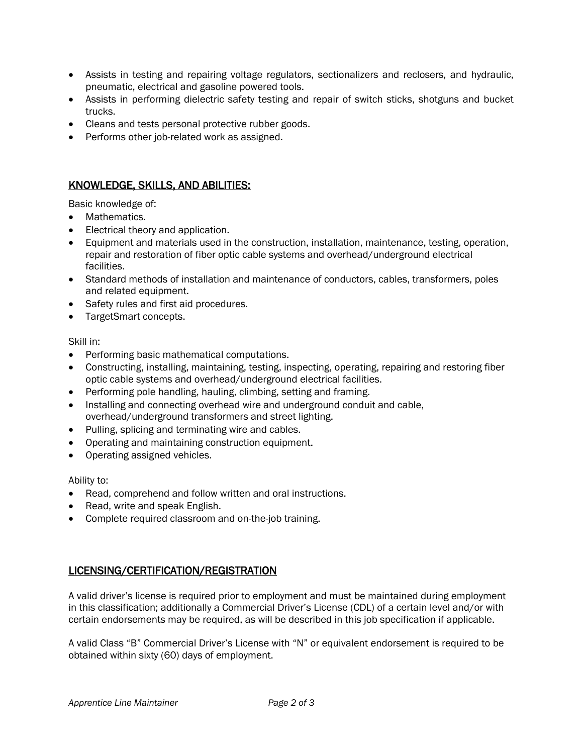- Assists in testing and repairing voltage regulators, sectionalizers and reclosers, and hydraulic, pneumatic, electrical and gasoline powered tools.
- Assists in performing dielectric safety testing and repair of switch sticks, shotguns and bucket trucks.
- Cleans and tests personal protective rubber goods.
- Performs other job-related work as assigned.

## KNOWLEDGE, SKILLS, AND ABILITIES:

Basic knowledge of:

- Mathematics.
- Electrical theory and application.
- Equipment and materials used in the construction, installation, maintenance, testing, operation, repair and restoration of fiber optic cable systems and overhead/underground electrical facilities.
- Standard methods of installation and maintenance of conductors, cables, transformers, poles and related equipment.
- Safety rules and first aid procedures.
- TargetSmart concepts.

Skill in:

- Performing basic mathematical computations.
- Constructing, installing, maintaining, testing, inspecting, operating, repairing and restoring fiber optic cable systems and overhead/underground electrical facilities.
- Performing pole handling, hauling, climbing, setting and framing.
- Installing and connecting overhead wire and underground conduit and cable, overhead/underground transformers and street lighting.
- Pulling, splicing and terminating wire and cables.
- Operating and maintaining construction equipment.
- Operating assigned vehicles.

#### Ability to:

- Read, comprehend and follow written and oral instructions.
- Read, write and speak English.
- Complete required classroom and on-the-job training.

## LICENSING/CERTIFICATION/REGISTRATION

A valid driver's license is required prior to employment and must be maintained during employment in this classification; additionally a Commercial Driver's License (CDL) of a certain level and/or with certain endorsements may be required, as will be described in this job specification if applicable.

A valid Class "B" Commercial Driver's License with "N" or equivalent endorsement is required to be obtained within sixty (60) days of employment.